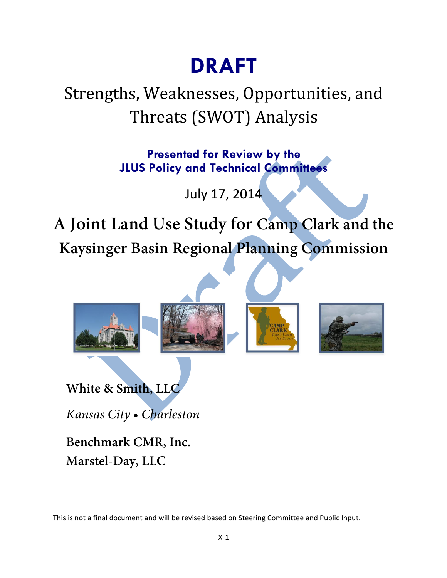# **DRAFT**

# Strengths, Weaknesses, Opportunities, and Threats (SWOT) Analysis

**Presented for Review by the JLUS Policy and Technical Committees**

July 17, 2014

**A Joint Land Use Study for Camp Clark and the Kaysinger Basin Regional Planning Commission**



*Kansas City • Charleston*

**Benchmark CMR, Inc. Marstel-Day, LLC**

This is not a final document and will be revised based on Steering Committee and Public Input.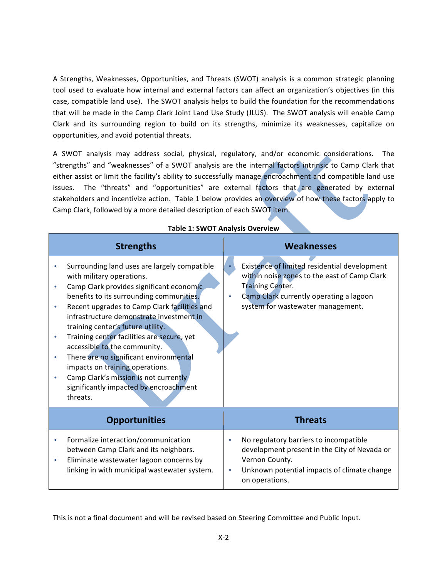A Strengths, Weaknesses, Opportunities, and Threats (SWOT) analysis is a common strategic planning tool used to evaluate how internal and external factors can affect an organization's objectives (in this case, compatible land use). The SWOT analysis helps to build the foundation for the recommendations that will be made in the Camp Clark Joint Land Use Study (JLUS). The SWOT analysis will enable Camp Clark and its surrounding region to build on its strengths, minimize its weaknesses, capitalize on opportunities, and avoid potential threats.

A SWOT analysis may address social, physical, regulatory, and/or economic considerations. The "strengths" and "weaknesses" of a SWOT analysis are the internal factors intrinsic to Camp Clark that either assist or limit the facility's ability to successfully manage encroachment and compatible land use issues. The "threats" and "opportunities" are external factors that are generated by external stakeholders and incentivize action. Table 1 below provides an overview of how these factors apply to Camp Clark, followed by a more detailed description of each SWOT item.

|                                     | <b>Strengths</b>                                                                                                                                                                                                                                                                                                                                                                                                                                                                                                                                             | <b>Weaknesses</b>                                                                                                                                                                                |  |
|-------------------------------------|--------------------------------------------------------------------------------------------------------------------------------------------------------------------------------------------------------------------------------------------------------------------------------------------------------------------------------------------------------------------------------------------------------------------------------------------------------------------------------------------------------------------------------------------------------------|--------------------------------------------------------------------------------------------------------------------------------------------------------------------------------------------------|--|
| $\bullet$<br>$\bullet$<br>$\bullet$ | Surrounding land uses are largely compatible<br>with military operations.<br>Camp Clark provides significant economic<br>benefits to its surrounding communities.<br>Recent upgrades to Camp Clark facilities and<br>infrastructure demonstrate investment in<br>training center's future utility.<br>Training center facilities are secure, yet<br>accessible to the community.<br>There are no significant environmental<br>impacts on training operations.<br>Camp Clark's mission is not currently<br>significantly impacted by encroachment<br>threats. | Existence of limited residential development<br>within noise zones to the east of Camp Clark<br>Training Center.<br>Camp Clark currently operating a lagoon<br>system for wastewater management. |  |
|                                     | <b>Opportunities</b>                                                                                                                                                                                                                                                                                                                                                                                                                                                                                                                                         | <b>Threats</b>                                                                                                                                                                                   |  |
| $\bullet$<br>$\bullet$              | Formalize interaction/communication<br>between Camp Clark and its neighbors.<br>Eliminate wastewater lagoon concerns by<br>linking in with municipal wastewater system.                                                                                                                                                                                                                                                                                                                                                                                      | No regulatory barriers to incompatible<br>$\bullet$<br>development present in the City of Nevada or<br>Vernon County.<br>Unknown potential impacts of climate change<br>on operations.           |  |

#### **Table 1: SWOT Analysis Overview**

This is not a final document and will be revised based on Steering Committee and Public Input.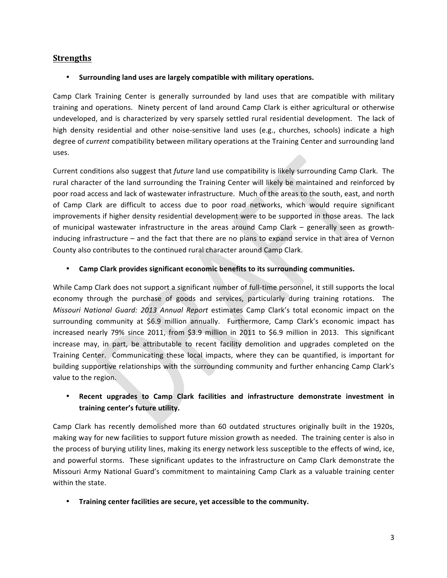# **Strengths**

#### • Surrounding land uses are largely compatible with military operations.

Camp Clark Training Center is generally surrounded by land uses that are compatible with military training and operations. Ninety percent of land around Camp Clark is either agricultural or otherwise undeveloped, and is characterized by very sparsely settled rural residential development. The lack of high density residential and other noise-sensitive land uses (e.g., churches, schools) indicate a high degree of *current* compatibility between military operations at the Training Center and surrounding land uses.

Current conditions also suggest that *future* land use compatibility is likely surrounding Camp Clark. The rural character of the land surrounding the Training Center will likely be maintained and reinforced by poor road access and lack of wastewater infrastructure. Much of the areas to the south, east, and north of Camp Clark are difficult to access due to poor road networks, which would require significant improvements if higher density residential development were to be supported in those areas. The lack of municipal wastewater infrastructure in the areas around Camp Clark – generally seen as growthinducing infrastructure  $-$  and the fact that there are no plans to expand service in that area of Vernon County also contributes to the continued rural character around Camp Clark.

#### • Camp Clark provides significant economic benefits to its surrounding communities.

While Camp Clark does not support a significant number of full-time personnel, it still supports the local economy through the purchase of goods and services, particularly during training rotations. The *Missouri National Guard: 2013 Annual Report* estimates Camp Clark's total economic impact on the surrounding community at \$6.9 million annually. Furthermore, Camp Clark's economic impact has increased nearly 79% since 2011, from \$3.9 million in 2011 to \$6.9 million in 2013. This significant increase may, in part, be attributable to recent facility demolition and upgrades completed on the Training Center. Communicating these local impacts, where they can be quantified, is important for building supportive relationships with the surrounding community and further enhancing Camp Clark's value to the region.

# Recent upgrades to Camp Clark facilities and infrastructure demonstrate investment in training center's future utility.

Camp Clark has recently demolished more than 60 outdated structures originally built in the 1920s, making way for new facilities to support future mission growth as needed. The training center is also in the process of burying utility lines, making its energy network less susceptible to the effects of wind, ice, and powerful storms. These significant updates to the infrastructure on Camp Clark demonstrate the Missouri Army National Guard's commitment to maintaining Camp Clark as a valuable training center within the state.

#### • **Training center facilities are secure, yet accessible to the community.**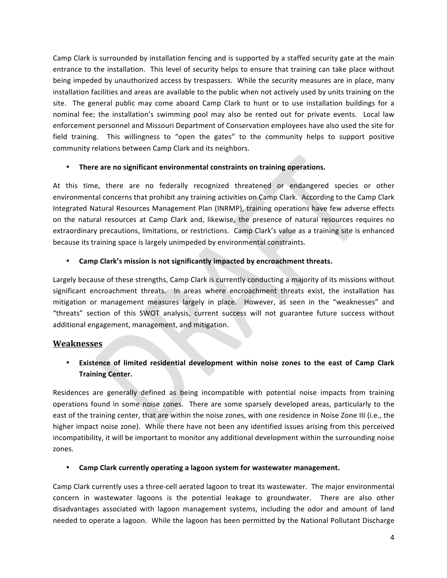Camp Clark is surrounded by installation fencing and is supported by a staffed security gate at the main entrance to the installation. This level of security helps to ensure that training can take place without being impeded by unauthorized access by trespassers. While the security measures are in place, many installation facilities and areas are available to the public when not actively used by units training on the site. The general public may come aboard Camp Clark to hunt or to use installation buildings for a nominal fee; the installation's swimming pool may also be rented out for private events. Local law enforcement personnel and Missouri Department of Conservation employees have also used the site for field training. This willingness to "open the gates" to the community helps to support positive community relations between Camp Clark and its neighbors.

### **There are no significant environmental constraints on training operations.**

At this time, there are no federally recognized threatened or endangered species or other environmental concerns that prohibit any training activities on Camp Clark. According to the Camp Clark Integrated Natural Resources Management Plan (INRMP), training operations have few adverse effects on the natural resources at Camp Clark and, likewise, the presence of natural resources requires no extraordinary precautions, limitations, or restrictions. Camp Clark's value as a training site is enhanced because its training space is largely unimpeded by environmental constraints.

# Camp Clark's mission is not significantly impacted by encroachment threats.

Largely because of these strengths, Camp Clark is currently conducting a majority of its missions without significant encroachment threats. In areas where encroachment threats exist, the installation has mitigation or management measures largely in place. However, as seen in the "weaknesses" and "threats" section of this SWOT analysis, current success will not guarantee future success without additional engagement, management, and mitigation.

# **Weaknesses**

# • Existence of limited residential development within noise zones to the east of Camp Clark **Training Center.**

Residences are generally defined as being incompatible with potential noise impacts from training operations found in some noise zones. There are some sparsely developed areas, particularly to the east of the training center, that are within the noise zones, with one residence in Noise Zone III (i.e., the higher impact noise zone). While there have not been any identified issues arising from this perceived incompatibility, it will be important to monitor any additional development within the surrounding noise zones.

#### Camp Clark currently operating a lagoon system for wastewater management.

Camp Clark currently uses a three-cell aerated lagoon to treat its wastewater. The major environmental concern in wastewater lagoons is the potential leakage to groundwater. There are also other disadvantages associated with lagoon management systems, including the odor and amount of land needed to operate a lagoon. While the lagoon has been permitted by the National Pollutant Discharge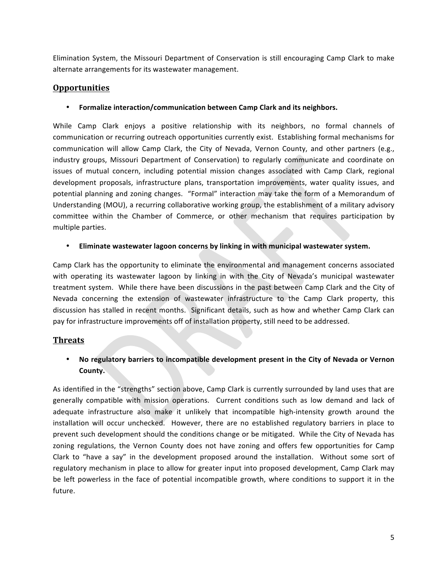Elimination System, the Missouri Department of Conservation is still encouraging Camp Clark to make alternate arrangements for its wastewater management.

# **Opportunities**

#### • Formalize interaction/communication between Camp Clark and its neighbors.

While Camp Clark enjoys a positive relationship with its neighbors, no formal channels of communication or recurring outreach opportunities currently exist. Establishing formal mechanisms for communication will allow Camp Clark, the City of Nevada, Vernon County, and other partners (e.g., industry groups, Missouri Department of Conservation) to regularly communicate and coordinate on issues of mutual concern, including potential mission changes associated with Camp Clark, regional development proposals, infrastructure plans, transportation improvements, water quality issues, and potential planning and zoning changes. "Formal" interaction may take the form of a Memorandum of Understanding (MOU), a recurring collaborative working group, the establishment of a military advisory committee within the Chamber of Commerce, or other mechanism that requires participation by multiple parties.

### • Eliminate wastewater lagoon concerns by linking in with municipal wastewater system.

Camp Clark has the opportunity to eliminate the environmental and management concerns associated with operating its wastewater lagoon by linking in with the City of Nevada's municipal wastewater treatment system. While there have been discussions in the past between Camp Clark and the City of Nevada concerning the extension of wastewater infrastructure to the Camp Clark property, this discussion has stalled in recent months. Significant details, such as how and whether Camp Clark can pay for infrastructure improvements off of installation property, still need to be addressed.

# **Threats**

# • No regulatory barriers to incompatible development present in the City of Nevada or Vernon **County.**

As identified in the "strengths" section above, Camp Clark is currently surrounded by land uses that are generally compatible with mission operations. Current conditions such as low demand and lack of adequate infrastructure also make it unlikely that incompatible high-intensity growth around the installation will occur unchecked. However, there are no established regulatory barriers in place to prevent such development should the conditions change or be mitigated. While the City of Nevada has zoning regulations, the Vernon County does not have zoning and offers few opportunities for Camp Clark to "have a say" in the development proposed around the installation. Without some sort of regulatory mechanism in place to allow for greater input into proposed development, Camp Clark may be left powerless in the face of potential incompatible growth, where conditions to support it in the future.